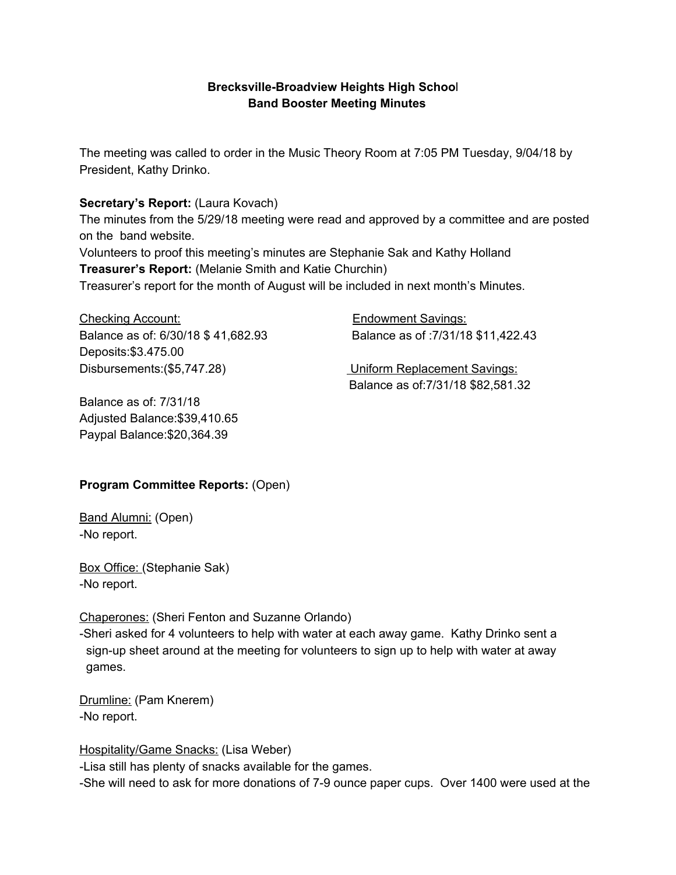## **Brecksville-Broadview Heights High Schoo**l **Band Booster Meeting Minutes**

The meeting was called to order in the Music Theory Room at 7:05 PM Tuesday, 9/04/18 by President, Kathy Drinko.

## **Secretary's Report:** (Laura Kovach)

The minutes from the 5/29/18 meeting were read and approved by a committee and are posted on the band website.

Volunteers to proof this meeting's minutes are Stephanie Sak and Kathy Holland **Treasurer's Report:** (Melanie Smith and Katie Churchin)

Treasurer's report for the month of August will be included in next month's Minutes.

Checking Account: Endowment Savings: Balance as of: 6/30/18 \$ 41,682.93 Balance as of :7/31/18 \$11,422.43 Deposits:\$3.475.00 Disbursements:(\$5,747.28) Uniform Replacement Savings:

Balance as of: 7/31/18 Adjusted Balance:\$39,410.65 Paypal Balance:\$20,364.39

Balance as of:7/31/18 \$82,581.32

## **Program Committee Reports:** (Open)

Band Alumni: (Open) -No report.

Box Office: (Stephanie Sak) -No report.

Chaperones: (Sheri Fenton and Suzanne Orlando)

-Sheri asked for 4 volunteers to help with water at each away game. Kathy Drinko sent a sign-up sheet around at the meeting for volunteers to sign up to help with water at away games.

Drumline: (Pam Knerem) -No report.

Hospitality/Game Snacks: (Lisa Weber)

-Lisa still has plenty of snacks available for the games.

-She will need to ask for more donations of 7-9 ounce paper cups. Over 1400 were used at the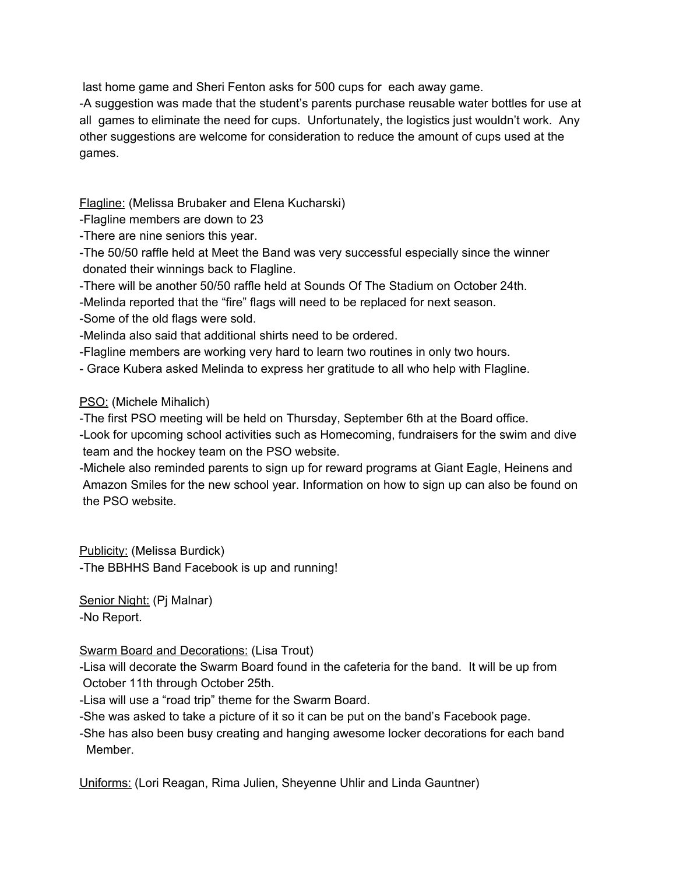last home game and Sheri Fenton asks for 500 cups for each away game.

-A suggestion was made that the student's parents purchase reusable water bottles for use at all games to eliminate the need for cups. Unfortunately, the logistics just wouldn't work. Any other suggestions are welcome for consideration to reduce the amount of cups used at the games.

Flagline: (Melissa Brubaker and Elena Kucharski)

-Flagline members are down to 23

- -There are nine seniors this year.
- -The 50/50 raffle held at Meet the Band was very successful especially since the winner donated their winnings back to Flagline.
- -There will be another 50/50 raffle held at Sounds Of The Stadium on October 24th.
- -Melinda reported that the "fire" flags will need to be replaced for next season.
- -Some of the old flags were sold.
- -Melinda also said that additional shirts need to be ordered.
- -Flagline members are working very hard to learn two routines in only two hours.
- Grace Kubera asked Melinda to express her gratitude to all who help with Flagline.

# PSO: (Michele Mihalich)

- -The first PSO meeting will be held on Thursday, September 6th at the Board office.
- -Look for upcoming school activities such as Homecoming, fundraisers for the swim and dive team and the hockey team on the PSO website.
- -Michele also reminded parents to sign up for reward programs at Giant Eagle, Heinens and Amazon Smiles for the new school year. Information on how to sign up can also be found on the PSO website.

Publicity: (Melissa Burdick) -The BBHHS Band Facebook is up and running!

Senior Night: (Pj Malnar) -No Report.

## Swarm Board and Decorations: (Lisa Trout)

-Lisa will decorate the Swarm Board found in the cafeteria for the band. It will be up from October 11th through October 25th.

-Lisa will use a "road trip" theme for the Swarm Board.

- -She was asked to take a picture of it so it can be put on the band's Facebook page.
- -She has also been busy creating and hanging awesome locker decorations for each band Member.

Uniforms: (Lori Reagan, Rima Julien, Sheyenne Uhlir and Linda Gauntner)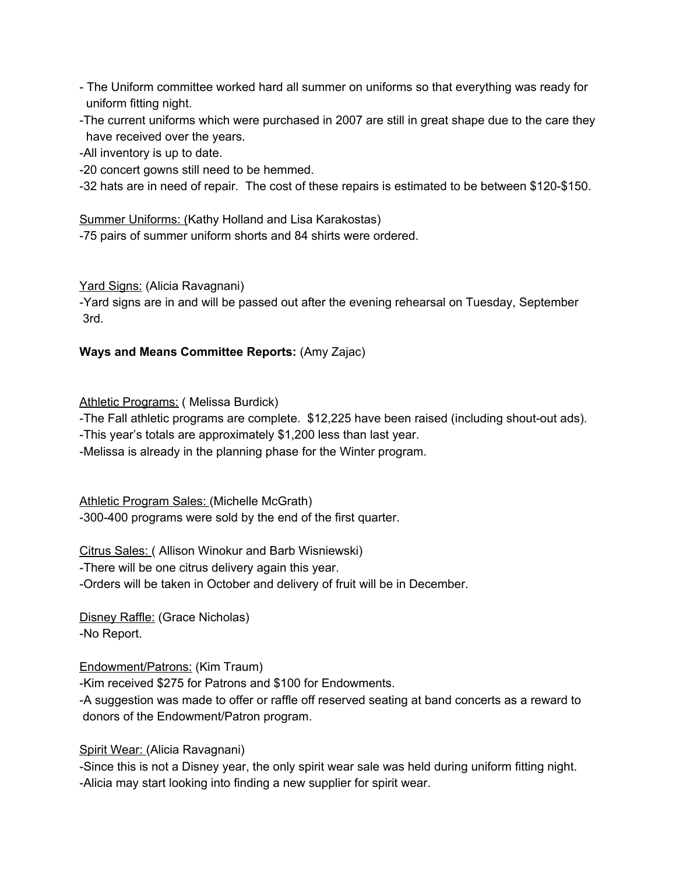- The Uniform committee worked hard all summer on uniforms so that everything was ready for uniform fitting night.
- -The current uniforms which were purchased in 2007 are still in great shape due to the care they have received over the years.

-All inventory is up to date.

-20 concert gowns still need to be hemmed.

-32 hats are in need of repair. The cost of these repairs is estimated to be between \$120-\$150.

Summer Uniforms: (Kathy Holland and Lisa Karakostas) -75 pairs of summer uniform shorts and 84 shirts were ordered.

Yard Signs: (Alicia Ravagnani)

-Yard signs are in and will be passed out after the evening rehearsal on Tuesday, September 3rd.

# **Ways and Means Committee Reports:** (Amy Zajac)

Athletic Programs: ( Melissa Burdick)

-The Fall athletic programs are complete. \$12,225 have been raised (including shout-out ads).

-This year's totals are approximately \$1,200 less than last year.

-Melissa is already in the planning phase for the Winter program.

Athletic Program Sales: (Michelle McGrath) -300-400 programs were sold by the end of the first quarter.

Citrus Sales: ( Allison Winokur and Barb Wisniewski)

-There will be one citrus delivery again this year.

-Orders will be taken in October and delivery of fruit will be in December.

Disney Raffle: (Grace Nicholas) -No Report.

Endowment/Patrons: (Kim Traum)

-Kim received \$275 for Patrons and \$100 for Endowments.

-A suggestion was made to offer or raffle off reserved seating at band concerts as a reward to donors of the Endowment/Patron program.

Spirit Wear: (Alicia Ravagnani)

-Since this is not a Disney year, the only spirit wear sale was held during uniform fitting night. -Alicia may start looking into finding a new supplier for spirit wear.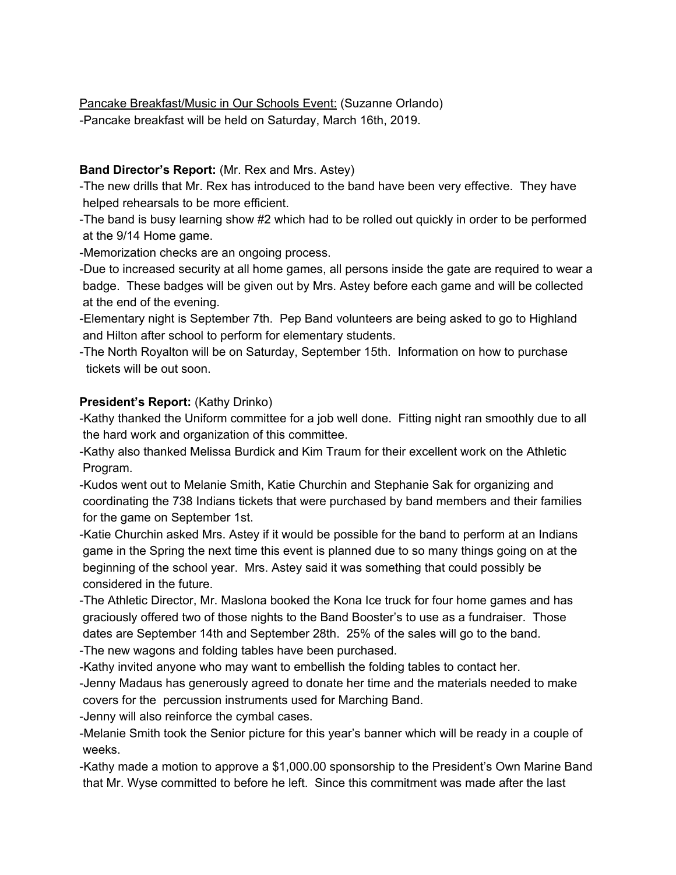Pancake Breakfast/Music in Our Schools Event: (Suzanne Orlando) -Pancake breakfast will be held on Saturday, March 16th, 2019.

#### **Band Director's Report:** (Mr. Rex and Mrs. Astey)

-The new drills that Mr. Rex has introduced to the band have been very effective. They have helped rehearsals to be more efficient.

-The band is busy learning show #2 which had to be rolled out quickly in order to be performed at the 9/14 Home game.

-Memorization checks are an ongoing process.

-Due to increased security at all home games, all persons inside the gate are required to wear a badge. These badges will be given out by Mrs. Astey before each game and will be collected at the end of the evening.

-Elementary night is September 7th. Pep Band volunteers are being asked to go to Highland and Hilton after school to perform for elementary students.

-The North Royalton will be on Saturday, September 15th. Information on how to purchase tickets will be out soon.

#### **President's Report:** (Kathy Drinko)

-Kathy thanked the Uniform committee for a job well done. Fitting night ran smoothly due to all the hard work and organization of this committee.

-Kathy also thanked Melissa Burdick and Kim Traum for their excellent work on the Athletic Program.

-Kudos went out to Melanie Smith, Katie Churchin and Stephanie Sak for organizing and coordinating the 738 Indians tickets that were purchased by band members and their families for the game on September 1st.

-Katie Churchin asked Mrs. Astey if it would be possible for the band to perform at an Indians game in the Spring the next time this event is planned due to so many things going on at the beginning of the school year. Mrs. Astey said it was something that could possibly be considered in the future.

-The Athletic Director, Mr. Maslona booked the Kona Ice truck for four home games and has graciously offered two of those nights to the Band Booster's to use as a fundraiser. Those dates are September 14th and September 28th. 25% of the sales will go to the band.

-The new wagons and folding tables have been purchased.

-Kathy invited anyone who may want to embellish the folding tables to contact her.

-Jenny Madaus has generously agreed to donate her time and the materials needed to make covers for the percussion instruments used for Marching Band.

-Jenny will also reinforce the cymbal cases.

-Melanie Smith took the Senior picture for this year's banner which will be ready in a couple of weeks.

-Kathy made a motion to approve a \$1,000.00 sponsorship to the President's Own Marine Band that Mr. Wyse committed to before he left. Since this commitment was made after the last